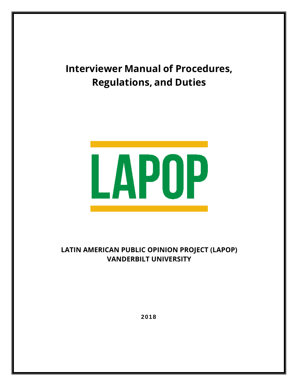# **Interviewer Manual of Procedures, Regulations, and Duties**



# **LATIN AMERICAN PUBLIC OPINION PROJECT (LAPOP) VANDERBILT UNIVERSITY**

2018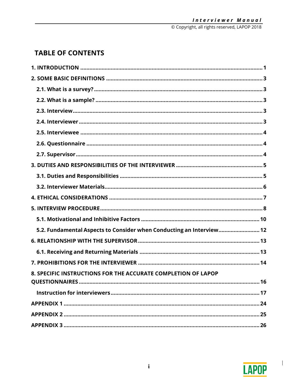# **TABLE OF CONTENTS**

| 5.2. Fundamental Aspects to Consider when Conducting an Interview 12 |
|----------------------------------------------------------------------|
|                                                                      |
|                                                                      |
|                                                                      |
| 8. SPECIFIC INSTRUCTIONS FOR THE ACCURATE COMPLETION OF LAPOP        |
| 16                                                                   |
|                                                                      |
|                                                                      |
|                                                                      |
|                                                                      |



 $\overline{\phantom{0}}$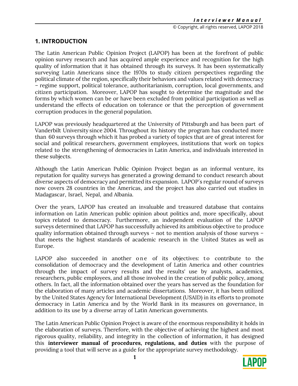# **1. INTRODUCTION**

The Latin American Public Opinion Project (LAPOP) has been at the forefront of public opinion survey research and has acquired ample experience and recognition for the high quality of information that it has obtained through its surveys. It has been systematically surveying Latin Americans since the 1970s to study citizen perspectives regarding the political climate of the region, specifically their behaviors and values related with democracy – regime support, political tolerance, authoritarianism, corruption, local governments, and citizen participation. Moreover, LAPOP has sought to determine the magnitude and the forms by which women can be or have been excluded from political participation as well as understand the effects of education on tolerance or that the perception of government corruption produces in the general population.

LAPOP was previously headquartered at the University of Pittsburgh and has been part of Vanderbilt University since 2004. Throughout its history the program has conducted more than 60 surveys through which it has probed a variety of topics that are of great interest for social and political researchers, government employees, institutions that work on topics related to the strengthening of democracies in Latin America, and individuals interested in these subjects.

Although the Latin American Public Opinion Project began as an informal venture, its reputation for quality surveys has generated a growing demand to conduct research about diverse aspects of democracy and permitted its expansion. LAPOP´s regular round of surveys now covers 28 countries in the Americas, and the project has also carried out studies in Madagascar, Israel, Nepal, and Albania.

Over the years, LAPOP has created an invaluable and treasured database that contains information on Latin American public opinion about politics and, more specifically, about topics related to democracy. Furthermore, an independent evaluation of the LAPOP surveys determined that LAPOP has successfully achieved its ambitious objective to produce quality information obtained through surveys – not to mention analysis of those surveys – that meets the highest standards of academic research in the United States as well as Europe.

LAPOP also succeeded in another one of its objectives: to contribute to the consolidation of democracy and the development of Latin America and other countries through the impact of survey results and the results' use by analysts, academics, researchers, public employees, and all those involved in the creation of public policy, among others. In fact, all the information obtained over the years has served as the foundation for the elaboration of many articles and academic dissertations. Moreover, it has been utilized by the United States Agency for International Development (USAID) in its efforts to promote democracy in Latin America and by the World Bank in its measures on governance, in addition to its use by a diverse array of Latin American governments.

The Latin American Public Opinion Project is aware of the enormous responsibility it holds in the elaboration of surveys. Therefore, with the objective of achieving the highest and most rigorous quality, reliability, and integrity in the collection of information, it has designed this **interviewer manual of procedures, regulations, and duties** with the purpose of providing a tool that will serve as a guide for the appropriate survey methodology.

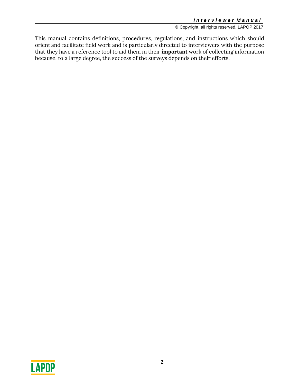This manual contains definitions, procedures, regulations, and instructions which should orient and facilitate field work and is particularly directed to interviewers with the purpose that they have a reference tool to aid them in their **important** work of collecting information because, to a large degree, the success of the surveys depends on their efforts.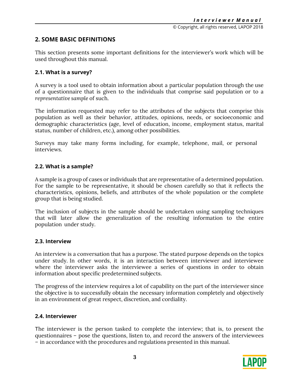# **2. SOME BASIC DEFINITIONS**

This section presents some important definitions for the interviewer's work which will be used throughout this manual.

### **2.1. What is a survey?**

A survey is a tool used to obtain information about a particular population through the use of a questionnaire that is given to the individuals that comprise said population or to a *representative sample* of such.

The information requested may refer to the attributes of the subjects that comprise this population as well as their behavior, attitudes, opinions, needs, or socioeconomic and demographic characteristics (age, level of education, income, employment status, marital status, number of children, etc.), among other possibilities.

Surveys may take many forms including, for example, telephone, mail, or personal interviews.

#### **2.2. What is a sample?**

A sample is a group of cases or individuals that are representative of a determined population. For the sample to be representative, it should be chosen carefully so that it reflects the characteristics, opinions, beliefs, and attributes of the whole population or the complete group that is being studied.

The inclusion of subjects in the sample should be undertaken using sampling techniques that will later allow the generalization of the resulting information to the entire population under study.

## **2.3. Interview**

An interview is a conversation that has a purpose. The stated purpose depends on the topics under study. In other words, it is an interaction between interviewer and interviewee where the interviewer asks the interviewee a series of questions in order to obtain information about specific predetermined subjects.

The progress of the interview requires a lot of capability on the part of the interviewer since the objective is to successfully obtain the necessary information completely and objectively in an environment of great respect, discretion, and cordiality.

## **2.4. Interviewer**

The interviewer is the person tasked to complete the interview; that is, to present the questionnaires – pose the questions, listen to, and record the answers of the interviewees – in accordance with the procedures and regulations presented in this manual.

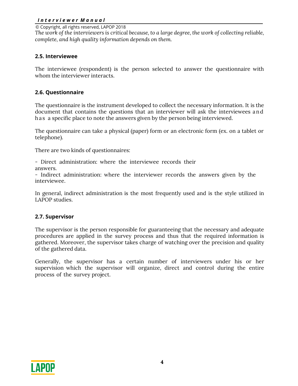#### *I n t e r v i e w e r M a n u a l*

© Copyright, all rights reserved, LAPOP 2018

*The work of the interviewers is critical because, to a large degree, the work of collecting reliable, complete, and high quality information depends on them.*

### **2.5. Interviewee**

The interviewee (respondent) is the person selected to answer the questionnaire with whom the interviewer interacts.

#### **2.6. Questionnaire**

The questionnaire is the instrument developed to collect the necessary information. It is the document that contains the questions that an interviewer will ask the interviewees a n d has a specific place to note the answers given by the person being interviewed.

The questionnaire can take a physical (paper) form or an electronic form (ex. on a tablet or telephone).

There are two kinds of questionnaires:

- Direct administration: where the interviewee records their answers.

*-* Indirect administration: where the interviewer records the answers given by the interviewee.

In general, indirect administration is the most frequently used and is the style utilized in LAPOP studies.

#### **2.7. Supervisor**

The supervisor is the person responsible for guaranteeing that the necessary and adequate procedures are applied in the survey process and thus that the required information is gathered. Moreover, the supervisor takes charge of watching over the precision and quality of the gathered data.

Generally, the supervisor has a certain number of interviewers under his or her supervision which the supervisor will organize, direct and control during the entire process of the survey project.

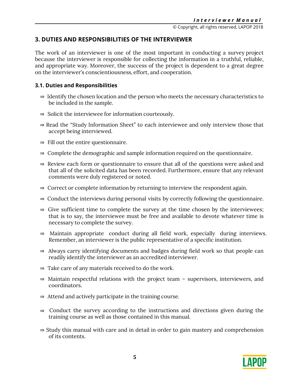# **3. DUTIES AND RESPONSIBILITIES OF THE INTERVIEWER**

The work of an interviewer is one of the most important in conducting a survey project because the interviewer is responsible for collecting the information in a truthful, reliable, and appropriate way. Moreover, the success of the project is dependent to a great degree on the interviewer's conscientiousness, effort, and cooperation.

# **3.1. Duties and Responsibilities**

- ⇒ Identify the chosen location and the person who meets the necessary characteristics to be included in the sample.
- ⇒ Solicit the interviewee for information courteously.
- ⇒ Read the "Study Information Sheet" to each interviewee and only interview those that accept being interviewed.
- $\Rightarrow$  Fill out the entire questionnaire.
- ⇒ Complete the demographic and sample information required on the questionnaire.
- ⇒ Review each form or questionnaire to ensure that all of the questions were asked and that all of the solicited data has been recorded. Furthermore, ensure that any relevant comments were duly registered or noted.
- ⇒ Correct or complete information by returning to interview the respondent again.
- ⇒ Conduct the interviews during personal visits by correctly following the questionnaire.
- $\Rightarrow$  Give sufficient time to complete the survey at the time chosen by the interviewees; that is to say, the interviewee must be free and available to devote whatever time is necessary to complete the survey.
- ⇒ Maintain appropriate conduct during all field work, especially during interviews. Remember, an interviewer is the public representative of a specific institution.
- ⇒ Always carry identifying documents and badges during field work so that people can readily identify the interviewer as an accredited interviewer.
- ⇒ Take care of any materials received to do the work.
- ⇒ Maintain respectful relations with the project team supervisors, interviewers, and coordinators.
- ⇒ Attend and actively participate in the training course.
- ⇒ Conduct the survey according to the instructions and directions given during the training course as well as those contained in this manual.
- ⇒ Study this manual with care and in detail in order to gain mastery and comprehension of its contents.

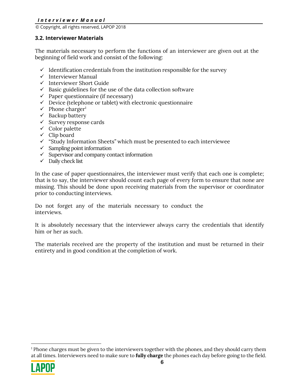## *I n t e r v i e w e r M a n u a l*

© Copyright, all rights reserved, LAPOP 2018

### **3.2. Interviewer Materials**

The materials necessary to perform the functions of an interviewer are given out at the beginning of field work and consist of the following:

- $\checkmark$  Identification credentials from the institution responsible for the survey
- $\checkmark$  Interviewer Manual
- $\checkmark$  Interviewer Short Guide
- $\checkmark$  Basic guidelines for the use of the data collection software
- $\checkmark$  Paper questionnaire (if necessary)
- $\checkmark$  Device (telephone or tablet) with electronic questionnaire
- $\checkmark$  Phone charger<sup>1</sup>
- $\checkmark$  Backup battery
- $\checkmark$  Survey response cards
- $\checkmark$  Color palette
- $\checkmark$  Clip board
- $\checkmark$  "Study Information Sheets" which must be presented to each interviewee
- $\checkmark$  Sampling point information
- $\checkmark$  Supervisor and company contact information
- $\checkmark$  Daily check list

In the case of paper questionnaires, the interviewer must verify that each one is complete; that is to say, the interviewer should count each page of every form to ensure that none are missing. This should be done upon receiving materials from the supervisor or coordinator prior to conducting interviews.

Do not forget any of the materials necessary to conduct the interviews.

It is absolutely necessary that the interviewer always carry the credentials that identify him or her as such.

The materials received are the property of the institution and must be returned in their entirety and in good condition at the completion of work.

<sup>1</sup> Phone charges must be given to the interviewers together with the phones, and they should carry them at all times. Interviewers need to make sure to **fully charge** the phones each day before going to the field.



-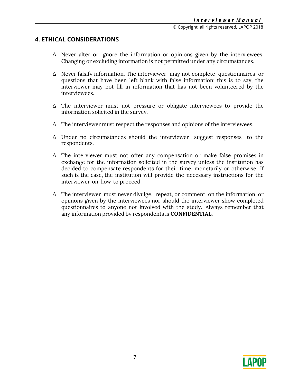# **4. ETHICAL CONSIDERATIONS**

- Δ Never alter or ignore the information or opinions given by the interviewees. Changing or excluding information is not permitted under any circumstances.
- Δ Never falsify information. The interviewer may not complete questionnaires or questions that have been left blank with false information; this is to say, the interviewer may not fill in information that has not been volunteered by the interviewees.
- Δ The interviewer must not pressure or obligate interviewees to provide the information solicited in the survey.
- $\Delta$  The interviewer must respect the responses and opinions of the interviewees.
- Δ Under no circumstances should the interviewer suggest responses to the respondents.
- Δ The interviewer must not offer any compensation or make false promises in exchange for the information solicited in the survey unless the institution has decided to compensate respondents for their time, monetarily or otherwise. If such is the case, the institution will provide the necessary instructions for the interviewer on how to proceed.
- Δ The interviewer must never divulge, repeat, or comment on the information or opinions given by the interviewees nor should the interviewer show completed questionnaires to anyone not involved with the study. Always remember that any information provided by respondents is **CONFIDENTIAL**.

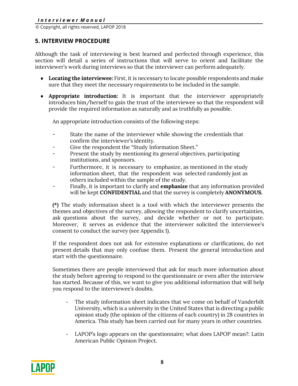# **5. INTERVIEW PROCEDURE**

Although the task of interviewing is best learned and perfected through experience, this section will detail a series of instructions that will serve to orient and facilitate the interviewer's work during interviews so that the interviewer can perform adequately.

- **Locating the interviewee:** First, it is necessary to locate possible respondents and make sure that they meet the necessary requirements to be included in the sample.
- **Appropriate introduction:** It is important that the interviewer appropriately introduces him/herself to gain the trust of the interviewee so that the respondent will provide the required information as naturally and as truthfully as possible.

An appropriate introduction consists of the following steps:

- State the name of the interviewer while showing the credentials that confirm the interviewer's identity.
- Give the respondent the "Study Information Sheet."
- Present the study by mentioning its general objectives, participating institutions, and sponsors.
- Furthermore, it is necessary to emphasize, as mentioned in the study information sheet, that the respondent was selected randomly just as others included within the sample of the study.
- Finally, it is important to clarify and **emphasize** that any information provided will be kept **CONFIDENTIAL** and that the survey is completely **ANONYMOUS.**

**(\*)** The study information sheet is a tool with which the interviewer presents the themes and objectives of the survey, allowing the respondent to clarify uncertainties, ask questions about the survey, and decide whether or not to participate. Moreover, it serves as evidence that the interviewer solicited the interviewee's consent to conduct the survey (see Appendix 1).

If the respondent does not ask for extensive explanations or clarifications, do not present details that may only confuse them. Present the general introduction and start with the questionnaire.

Sometimes there are people interviewed that ask for much more information about the study before agreeing to respond to the questionnaire or even after the interview has started. Because of this, we want to give you additional information that will help you respond to the interviewee's doubts.

- The study information sheet indicates that we come on behalf of Vanderbilt University, which is a university in the United States that is directing a public opinion study (the opinion of the citizens of each country) in 28 countries in America. This study has been carried out for many years in other countries.
- LAPOP's logo appears on the questionnaire; what does LAPOP mean?: Latin American Public Opinion Project.

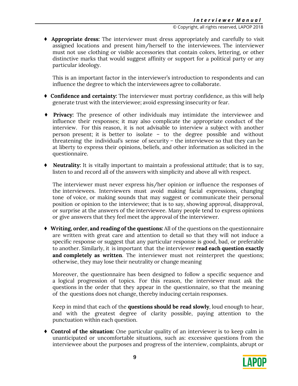♦ **Appropriate dress:** The interviewer must dress appropriately and carefully to visit assigned locations and present him/herself to the interviewees. The interviewer must not use clothing or visible accessories that contain colors, lettering, or other distinctive marks that would suggest affinity or support for a political party or any particular ideology.

This is an important factor in the interviewer's introduction to respondents and can influence the degree to which the interviewees agree to collaborate.

- ♦ **Confidence and certainty:** The interviewer must portray confidence, as this will help generate trust with the interviewee; avoid expressing insecurity or fear.
- ♦ **Privacy:** The presence of other individuals may intimidate the interviewee and influence their responses; it may also complicate the appropriate conduct of the interview. For this reason, it is not advisable to interview a subject with another person present; it is better to isolate – to the degree possible and without threatening the individual's sense of security – the interviewee so that they can be at liberty to express their opinions, beliefs, and other information as solicited in the questionnaire.
- **Neutrality:** It is vitally important to maintain a professional attitude; that is to say, listen to and record all of the answers with simplicity and above all with respect.

The interviewer must never express his/her opinion or influence the responses of the interviewees. Interviewers must avoid making facial expressions, changing tone of voice, or making sounds that may suggest or communicate their personal position or opinion to the interviewee; that is to say, showing approval, disapproval, or surprise at the answers of the interviewee. Many people tend to express opinions or give answers that they feel meet the approval of the interviewer.

♦ **Writing, order, and reading of the questions:** All of the questions on the questionnaire are written with great care and attention to detail so that they will not induce a specific response or suggest that any particular response is good, bad, or preferable to another. Similarly, it is important that the interviewer **read each question exactly and completely as written**. The interviewer must not reinterpret the questions; otherwise, they may lose their neutrality or change meaning

Moreover, the questionnaire has been designed to follow a specific sequence and a logical progression of topics. For this reason, the interviewer must ask the questions in the order that they appear in the questionnaire, so that the meaning of the questions does not change, thereby inducing certain responses.

Keep in mind that each of the **questions should be read slowly**, loud enough to hear, and with the greatest degree of clarity possible, paying attention to the punctuation within each question.

♦ **Control of the situation:** One particular quality of an interviewer is to keep calm in unanticipated or uncomfortable situations, such as: excessive questions from the interviewee about the purposes and progress of the interview, complaints, abrupt or

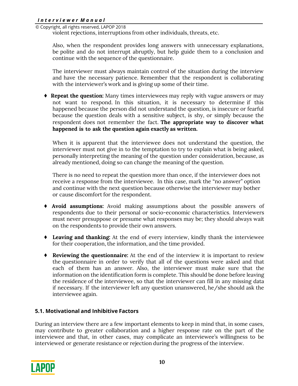violent rejections, interruptions from other individuals, threats, etc.

Also, when the respondent provides long answers with unnecessary explanations, be polite and do not interrupt abruptly, but help guide them to a conclusion and continue with the sequence of the questionnaire.

The interviewer must always maintain control of the situation during the interview and have the necessary patience. Remember that the respondent is collaborating with the interviewer's work and is giving up some of their time.

♦ **Repeat the question:** Many times interviewees may reply with vague answers or may not want to respond. In this situation, it is necessary to determine if this happened because the person did not understand the question, is insecure or fearful because the question deals with a sensitive subject, is shy, or simply because the respondent does not remember the fact. **The appropriate way to discover what happened is to ask the question again exactly as written.** 

When it is apparent that the interviewee does not understand the question, the interviewer must not give in to the temptation to try to explain what is being asked, personally interpreting the meaning of the question under consideration, because, as already mentioned, doing so can change the meaning of the question.

There is no need to repeat the question more than once, if the interviewer does not receive a response from the interviewee. In this case, mark the "no answer" option and continue with the next question because otherwise the interviewer may bother or cause discomfort for the respondent.

- ♦ **Avoid assumptions:** Avoid making assumptions about the possible answers of respondents due to their personal or socio-economic characteristics. Interviewers must never presuppose or presume what responses may be; they should always wait on the respondents to provide their own answers.
- ♦ **Leaving and thanking:** At the end of every interview, kindly thank the interviewee for their cooperation, the information, and the time provided.
- ♦ **Reviewing the questionnaire:** At the end of the interview it is important to review the questionnaire in order to verify that all of the questions were asked and that each of them has an answer. Also, the interviewer must make sure that the information on the identification form is complete. This should be done before leaving the residence of the interviewee, so that the interviewer can fill in any missing data if necessary. If the interviewer left any question unanswered, he/she should ask the interviewee again.

# **5.1. Motivational and Inhibitive Factors**

During an interview there are a few important elements to keep in mind that, in some cases, may contribute to greater collaboration and a higher response rate on the part of the interviewee and that, in other cases, may complicate an interviewee's willingness to be interviewed or generate resistance or rejection during the progress of the interview.

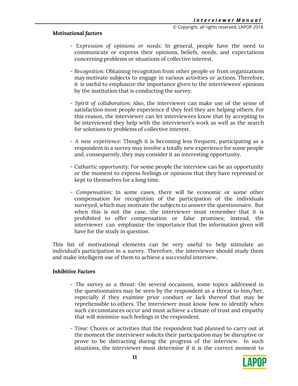## *Motivational factors*

- *Expression of opinions or needs:* In general, people have the need to communicate or express their opinions, beliefs, needs, and expectations concerning problems or situations of collective interest.
- *Recognition:* Obtaining recognition from other people or from organizations may motivate subjects to engage in various activities or actions. Therefore, it is useful to emphasize the importance given to the interviewees' opinions by the institution that is conducting the survey.
- *Spirit of collaboration:* Also, the interviewer can make use of the sense of satisfaction most people experience if they feel they are helping others. For this reason, the interviewer can let interviewees know that by accepting to be interviewed they help with the interviewer's work as well as the search for solutions to problems of collective interest.
- *A new experience:* Though it is becoming less frequent, participating as a respondent in a survey may involve a totally new experience for some people and, consequently, they may consider it an interesting opportunity.
- *Cathartic opportunity:* For some people the interview can be an opportunity or the moment to express feelings or opinions that they have repressed or kept to themselves for a long time.
- *Compensation:* In some cases, there will be economic or some other compensation for recognition of the participation of the individuals surveyed, which may motivate the subjects to answer the questionnaire. But when this is not the case, the interviewer must remember that it is prohibited to offer compensation or false promises; instead, the interviewer can emphasize the importance that the information given will have for the study in question.

This list of motivational elements can be very useful to help stimulate an individual's participation in a survey. Therefore, the interviewer should study them and make intelligent use of them to achieve a successful interview.

## *Inhibitive Factors*

- *The survey as a threat:* On several occasions, some topics addressed in the questionnaires may be seen by the respondent as a threat to him/her, especially if they examine prior conduct or lack thereof that may be reprehensible to others. The interviewer must know how to identify when such circumstances occur and must achieve a climate of trust and empathy that will minimize such feelings in the respondent.
- *Time:* Chores or activities that the respondent had planned to carry out at the moment the interviewer solicits their participation may be disruptive or prove to be distracting during the progress of the interview. In such situations, the interviewer must determine if it is the correct moment to

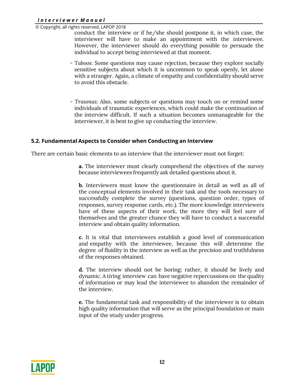#### *I n t e r v i e w e r M a n u a l*

© Copyright, all rights reserved, LAPOP 2018

conduct the interview or if he/she should postpone it, in which case, the interviewer will have to make an appointment with the interviewee. However, the interviewer should do everything possible to persuade the individual to accept being interviewed at that moment.

- *Taboos:* Some questions may cause rejection, because they explore socially sensitive subjects about which it is uncommon to speak openly, let alone with a stranger. Again, a climate of empathy and confidentiality should serve to avoid this obstacle.
- *Traumas:* Also, some subjects or questions may touch on or remind some individuals of traumatic experiences, which could make the continuation of the interview difficult. If such a situation becomes unmanageable for the interviewer, it is best to give up conducting the interview.

#### **5.2. Fundamental Aspects to Consider when Conducting an Interview**

There are certain basic elements to an interview that the interviewer must not forget:

**a.** The interviewer must clearly comprehend the objectives of the survey because interviewees frequently ask detailed questions about it.

**b.** Interviewers must know the questionnaire in detail as well as all of the conceptual elements involved in their task and the tools necessary to successfully complete the survey (questions, question order, types of responses, survey response cards, etc.). The more knowledge interviewers have of these aspects of their work, the more they will feel sure of themselves and the greater chance they will have to conduct a successful interview and obtain quality information.

**c.** It is vital that interviewers establish a good level of communication and empathy with the interviewee, because this will determine the degree of fluidity in the interview as well as the precision and truthfulness of the responses obtained.

**d.** The interview should not be boring; rather, it should be lively and dynamic. A tiring interview can have negative repercussions on the quality of information or may lead the interviewee to abandon the remainder of the interview.

**e.** The fundamental task and responsibility of the interviewer is to obtain high quality information that will serve as the principal foundation or main input of the study under progress.

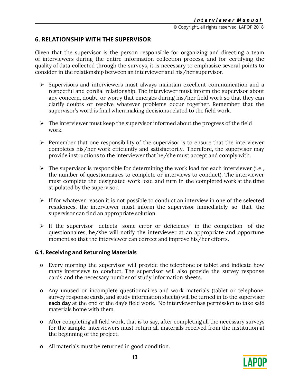# **6. RELATIONSHIP WITH THE SUPERVISOR**

Given that the supervisor is the person responsible for organizing and directing a team of interviewers during the entire information collection process, and for certifying the quality of data collected through the surveys, it is necessary to emphasize several points to consider in the relationship between an interviewer and his/her supervisor.

- $\triangleright$  Supervisors and interviewers must always maintain excellent communication and a respectful and cordial relationship. The interviewer must inform the supervisor about any concern, doubt, or worry that emerges during his/her field work so that they can clarify doubts or resolve whatever problems occur together. Remember that the supervisor's word is final when making decisions related to the field work.
- $\triangleright$  The interviewer must keep the supervisor informed about the progress of the field work.
- $\triangleright$  Remember that one responsibility of the supervisor is to ensure that the interviewer completes his/her work efficiently and satisfactorily. Therefore, the supervisor may provide instructions to the interviewer that he/she must accept and comply with.
- $\triangleright$  The supervisor is responsible for determining the work load for each interviewer (i.e., the number of questionnaires to complete or interviews to conduct). The interviewer must complete the designated work load and turn in the completed work at the time stipulated by the supervisor.
- $\triangleright$  If for whatever reason it is not possible to conduct an interview in one of the selected residences, the interviewer must inform the supervisor immediately so that the supervisor can find an appropriate solution.
- $\triangleright$  If the supervisor detects some error or deficiency in the completion of the questionnaires, he/she will notify the interviewer at an appropriate and opportune moment so that the interviewer can correct and improve his/her efforts.

#### **6.1. Receiving and Returning Materials**

- o Every morning the supervisor will provide the telephone or tablet and indicate how many interviews to conduct. The supervisor will also provide the survey response cards and the necessary number of study information sheets.
- o Any unused or incomplete questionnaires and work materials (tablet or telephone, survey response cards, and study information sheets) will be turned in to the supervisor **each day** at the end of the day's field work. No interviewer has permission to take said materials home with them.
- o After completing all field work, that is to say, after completing all the necessary surveys for the sample, interviewers must return all materials received from the institution at the beginning of the project.
- o All materials must be returned in good condition.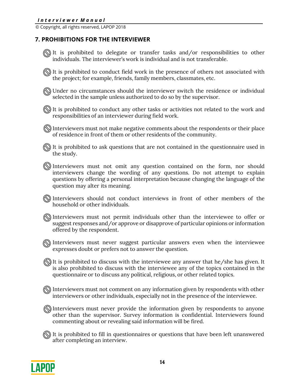# **7. PROHIBITIONS FOR THE INTERVIEWER**

It is prohibited to delegate or transfer tasks and/or responsibilities to other individuals. The interviewer's work is individual and is not transferable.

It is prohibited to conduct field work in the presence of others not associated with the project; for example, friends, family members, classmates, etc.

Under no circumstances should the interviewer switch the residence or individual selected in the sample unless authorized to do so by the supervisor.

It is prohibited to conduct any other tasks or activities not related to the work and responsibilities of an interviewer during field work.

 $\textcircled{N}$  Interviewers must not make negative comments about the respondents or their place of residence in front of them or other residents of the community.

 $\mathbb{Q}$  It is prohibited to ask questions that are not contained in the questionnaire used in the study.

Interviewers must not omit any question contained on the form, nor should interviewers change the wording of any questions. Do not attempt to explain questions by offering a personal interpretation because changing the language of the question may alter its meaning.

Interviewers should not conduct interviews in front of other members of the household or other individuals.

Interviewers must not permit individuals other than the interviewee to offer or suggest responses and/or approve or disapprove of particular opinions or information offered by the respondent.

Interviewers must never suggest particular answers even when the interviewee expresses doubt or prefers not to answer the question.

 $\mathbb{\mathbb{N}}$  It is prohibited to discuss with the interviewee any answer that he/she has given. It is also prohibited to discuss with the interviewee any of the topics contained in the questionnaire or to discuss any political, religious, or other related topics.

Interviewers must not comment on any information given by respondents with other interviewers or other individuals, especially not in the presence of the interviewee.

Interviewers must never provide the information given by respondents to anyone other than the supervisor. Survey information is confidential. Interviewers found commenting about or revealing said information will be fired.

 $\mathbb{Q}$  It is prohibited to fill in questionnaires or questions that have been left unanswered after completing an interview.

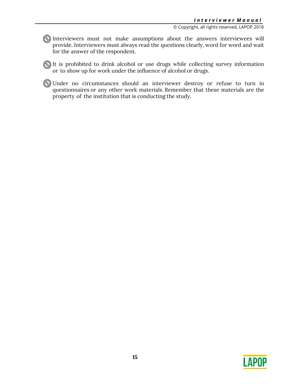Interviewers must not make assumptions about the answers interviewees will provide. Interviewers must always read the questions clearly, word for word and wait for the answer of the respondent.

It is prohibited to drink alcohol or use drugs while collecting survey information or to show up for work under the influence of alcohol or drugs.

Under no circumstances should an interviewer destroy or refuse to turn in questionnaires or any other work materials. Remember that these materials are the property of the institution that is conducting the study.

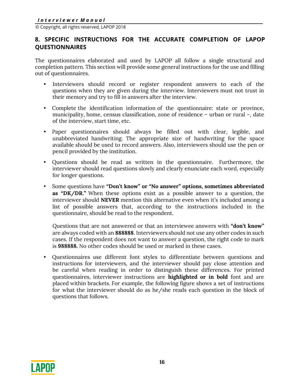# **8. SPECIFIC INSTRUCTIONS FOR THE ACCURATE COMPLETION OF LAPOP QUESTIONNAIRES**

The questionnaires elaborated and used by LAPOP all follow a single structural and completion pattern. This section will provide some general instructions for the use and filling out of questionnaires.

- Interviewers should record or register respondent answers to each of the questions when they are given during the interview. Interviewers must not trust in their memory and try to fill in answers after the interview.
- Complete the identification information of the questionnaire: state or province, municipality, home, census classification, zone of residence – urban or rural –, date of the interview, start time, etc.
- Paper questionnaires should always be filled out with clear, legible, and unabbreviated handwriting. The appropriate size of handwriting for the space available should be used to record answers. Also, interviewers should use the pen or pencil provided by the institution.
- Questions should be read as written in the questionnaire. Furthermore, the interviewer should read questions slowly and clearly enunciate each word, especially for longer questions.
- Some questions have **"Don't know" or "No answer" options, sometimes abbreviated as "DK/DR."** When these options exist as a possible answer to a question, the interviewer should **NEVER** mention this alternative even when it's included among a list of possible answers that, according to the instructions included in the questionnaire, should be read to the respondent.

Questions that are not answered or that an interviewee answers with **"don't know"**  are always coded with an **888888**. Interviewers should not use any other codes in such cases. If the respondent does not want to answer a question, the right code to mark is **988888.** No other codes should be used or marked in these cases.

• Questionnaires use different font styles to differentiate between questions and instructions for interviewers, and the interviewer should pay close attention and be careful when reading in order to distinguish these differences. For printed questionnaires, interviewer instructions are **highlighted or in bold** font and are placed within brackets. For example, the following figure shows a set of instructions for what the interviewer should do as he/she reads each question in the block of questions that follows.

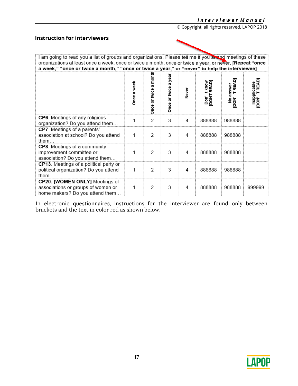# **Instruction for interviewers**

| I am going to read you a list of groups and organizations. Please tell me if you all and meetings of these<br>organizations at least once a week, once or twice a month, once or twice a year, or never. [Repeat "once<br>a week," "once or twice a month," "once or twice a year," or "never" to help the interviewee] |             |                       |                         |       |                                        |                      |                                             |
|-------------------------------------------------------------------------------------------------------------------------------------------------------------------------------------------------------------------------------------------------------------------------------------------------------------------------|-------------|-----------------------|-------------------------|-------|----------------------------------------|----------------------|---------------------------------------------|
|                                                                                                                                                                                                                                                                                                                         | Once a week | mont<br>Once or twice | a yeal<br>Once or twice | Never | READJ<br>t know<br><b>TNOU</b><br>Don' | answer<br>띥<br>inou. | <b>TREAD</b><br>Inapplicable<br>[DON' TREAD |
| CP6. Meetings of any religious<br>organization? Do you attend them                                                                                                                                                                                                                                                      |             | 2                     | 3                       | 4     | 888888                                 | 988888               |                                             |
| CP7. Meetings of a parents'<br>association at school? Do you attend<br>them.                                                                                                                                                                                                                                            | 1           | 2                     | 3                       | 4     | 888888                                 | 988888               |                                             |
| <b>CP8</b> . Meetings of a community<br>improvement committee or<br>association? Do you attend them                                                                                                                                                                                                                     | 1           | 2                     | 3                       | 4     | 888888                                 | 988888               |                                             |
| CP13. Meetings of a political party or<br>political organization? Do you attend<br>them $\ldots$                                                                                                                                                                                                                        | 1           | $\mathcal{P}$         | 3                       | 4     | 888888                                 | 988888               |                                             |
| CP20. [WOMEN ONLY] Meetings of<br>associations or groups of women or<br>home makers? Do you attend them                                                                                                                                                                                                                 | 1           | 2                     | 3                       | 4     | 888888                                 | 988888               | 999999                                      |

In electronic questionnaires, instructions for the interviewer are found only between brackets and the text in color red as shown below.

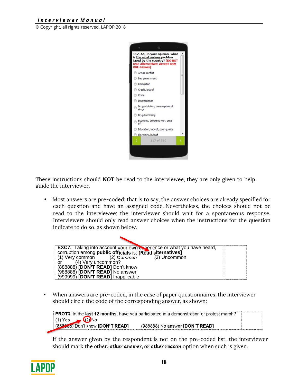### *I n t e r v i e w e r M a n u a l*

© Copyright, all rights reserved, LAPOP 2018



These instructions should **NOT** be read to the interviewee, they are only given to help guide the interviewer.

• Most answers are pre-coded; that is to say, the answer choices are already specified for each question and have an assigned code. Nevertheless, the choices should not be read to the interviewee; the interviewer should wait for a spontaneous response. Interviewers should only read answer choices when the instructions for the question indicate to do so, as shown below.



• When answers are pre-coded, in the case of paper questionnaires, the interviewer should circle the code of the corresponding answer, as shown:

PROT3. In the last 12 months, have you participated in a demonstration or protest march?  $(1)$  Yes  $(2)$ No (888868) Don't know [DON'T READ] (988888) No answer [DON'T READ]

If the answer given by the respondent is not on the pre-coded list, the interviewer should mark the *other, other answer, or other reason* option when such is given.

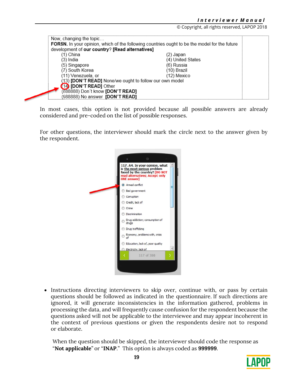| Now, changing the topic                                        |                                                                                               |  |  |  |  |
|----------------------------------------------------------------|-----------------------------------------------------------------------------------------------|--|--|--|--|
|                                                                | FOR5N. In your opinion, which of the following countries ought to be the model for the future |  |  |  |  |
| development of our country? [Read alternatives]                |                                                                                               |  |  |  |  |
| (1) China                                                      | 2) Japan                                                                                      |  |  |  |  |
| 3) India                                                       | (4) United States                                                                             |  |  |  |  |
| (5) Singapore                                                  | (6) Russia                                                                                    |  |  |  |  |
| (7) South Korea                                                | (10) Brazil                                                                                   |  |  |  |  |
| (11) Venezuela, or                                             | (12) Mexico                                                                                   |  |  |  |  |
| (13) <b>[DON'T READ]</b> None/we ought to follow our own model |                                                                                               |  |  |  |  |
| 14 [DON'T READ] Other                                          |                                                                                               |  |  |  |  |
| (888888) Don't know [DON'T READ]                               |                                                                                               |  |  |  |  |
| (988888) No answer <b>[DON'T READ]</b>                         |                                                                                               |  |  |  |  |

In most cases, this option is not provided because all possible answers are already considered and pre-coded on the list of possible responses.

For other questions, the interviewer should mark the circle next to the answer given by the respondent.



• Instructions directing interviewers to skip over, continue with, or pass by certain questions should be followed as indicated in the questionnaire. If such directions are ignored, it will generate inconsistencies in the information gathered, problems in processing the data, and will frequently cause confusion for the respondent because the questions asked will not be applicable to the interviewee and may appear incoherent in the context of previous questions or given the respondents desire not to respond or elaborate.

When the question should be skipped, the interviewer should code the response as "**Not applicable**" or "**INAP**." This option is always coded as **999999**.

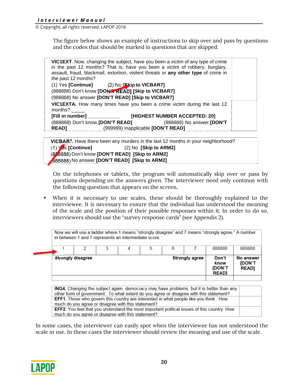The figure below shows an example of instructions to skip over and pass by questions and the codes that should be marked in questions that are skipped.

| the past 12 months? |                                                    | <b>VIC1EXT.</b> Now, changing the subject, have you been a victim of any type of crime<br>in the past 12 months? That is, have you been a victim of robbery, burglary,<br>assault, fraud, blackmail, extortion, violent threats or any other type of crime in |  |
|---------------------|----------------------------------------------------|---------------------------------------------------------------------------------------------------------------------------------------------------------------------------------------------------------------------------------------------------------------|--|
|                     | (1) Yes [Continue] (2) No [Skip to VICBAR7]        |                                                                                                                                                                                                                                                               |  |
|                     | (888888) Don't know [DON'T READ] [Skip to VICBAR7] |                                                                                                                                                                                                                                                               |  |
|                     | (988888) No answer [DON'T READ] [Skip to VICBAR7]  |                                                                                                                                                                                                                                                               |  |
| months?             |                                                    | VIC1EXTA. How many times have you been a crime victim during the last 12                                                                                                                                                                                      |  |
| [Fill in number]    |                                                    | [HIGHEST NUMBER ACCEPTED: 20]                                                                                                                                                                                                                                 |  |
|                     |                                                    | (988888) No answer [DON'T                                                                                                                                                                                                                                     |  |
| <b>READI</b>        | (999999) Inapplicable [DON'T READ]                 |                                                                                                                                                                                                                                                               |  |
|                     |                                                    |                                                                                                                                                                                                                                                               |  |

**VICBAR7.** Have there been any murders in the last 12 months in your neighborhood? (1) Yes **[Continue]** (2) No **[Skip to ARM2]** (888888) Don't know **[DON'T READ] [Skip to ARM2]** (988888) No answer **[DON'T READ] [Skip to ARM2]** 

On the telephones or tablets, the program will automatically skip over or pass by questions depending on the answers given. The interviewer need only continue with the following question that appears on the screen.

• When it is necessary to use scales, these should be thoroughly explained to the interviewee. It is necessary to ensure that the individual has understood the meaning of the scale and the position of their possible responses within it. In order to do so, interviewers should use the "survey response cards" (see Appendix 2).

**EFF1.** Those who govern this country are interested in what people like you think. How much do you agree or disagree with this statement? EFF2. You feel that you understand the most important political issues of this country. How much do you agree or disagree with this statement?

In some cases, the interviewer can easily spot when the interviewee has not understood the scale in use. In these cases the interviewer should review the meaning and use of the scale.

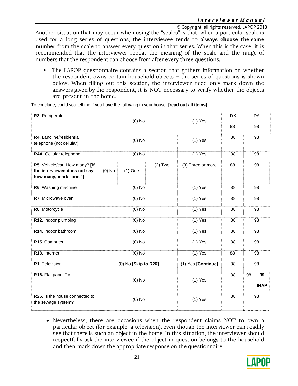Another situation that may occur when using the "scales" is that, when a particular scale is used for a long series of questions, the interviewee tends to **always choose the same number** from the scale to answer every question in that series. When this is the case, it is recommended that the interviewer repeat the meaning of the scale and the range of numbers that the respondent can choose from after every three questions.

• The LAPOP questionnaire contains a section that gathers information on whether the respondent owns certain household objects – the series of questions is shown below. When filling out this section, the interviewer need only mark down the answers given by the respondent, it is NOT necessary to verify whether the objects are present in the home.

To conclude, could you tell me if you have the following in your house: **[read out all items]** 

| R3. Refrigerator                                                                         | $(0)$ No             |           | $(1)$ Yes          | <b>DK</b>         |           | DA |                   |  |    |
|------------------------------------------------------------------------------------------|----------------------|-----------|--------------------|-------------------|-----------|----|-------------------|--|----|
|                                                                                          |                      |           |                    |                   | 88        |    | 98                |  |    |
| R4. Landline/residential<br>telephone (not cellular)                                     | $(0)$ No             |           |                    |                   | 88        |    | 98                |  |    |
| R4A. Cellular telephone                                                                  | $(0)$ No             |           |                    |                   | $(1)$ Yes |    | 88                |  | 98 |
| R5. Vehicle/car. How many? [If<br>the interviewee does not say<br>how many, mark "one."] | $(0)$ No             | $(1)$ One | $(2)$ Two          | (3) Three or more | 88        |    | 98                |  |    |
| R6. Washing machine                                                                      | $(0)$ No             |           | $(1)$ Yes          | 88                | 98        |    |                   |  |    |
| R7. Microwave oven                                                                       | $(0)$ No             |           | $(1)$ Yes          | 88                | 98        |    |                   |  |    |
| R8. Motorcycle                                                                           | $(0)$ No             |           |                    | $(1)$ Yes         | 88        | 98 |                   |  |    |
| R12. Indoor plumbing                                                                     | $(0)$ No             |           | $(1)$ Yes          | 88                | 98        |    |                   |  |    |
| R14. Indoor bathroom                                                                     | $(0)$ No             |           | $(1)$ Yes          | 88                | 98        |    |                   |  |    |
| R15. Computer                                                                            | $(0)$ No             |           | $(1)$ Yes          | 88                | 98        |    |                   |  |    |
| R18. Internet                                                                            | $(0)$ No             |           | $(1)$ Yes          | 88                | 98        |    |                   |  |    |
| R1. Television                                                                           | (0) No [Skip to R26] |           | (1) Yes [Continue] | 88                | 98        |    |                   |  |    |
| R16. Flat panel TV                                                                       | $(0)$ No             |           | $(1)$ Yes          |                   | 88        | 98 | 99<br><b>INAP</b> |  |    |
| R26. Is the house connected to<br>the sewage system?                                     | $(0)$ No             |           | $(1)$ Yes          | 88                |           | 98 |                   |  |    |

 Nevertheless, there are occasions when the respondent claims NOT to own a particular object (for example, a television), even though the interviewer can readily see that there is such an object in the home. In this situation, the interviewer should respectfully ask the interviewee if the object in question belongs to the household and then mark down the appropriate response on the questionnaire.

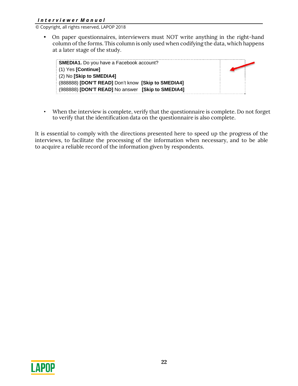• On paper questionnaires, interviewers must NOT write anything in the right-hand column of the forms. This column is only used when codifying the data, which happens at a later stage of the study.

| <b>SMEDIA1.</b> Do you have a Facebook account?    |  |
|----------------------------------------------------|--|
| (1) Yes [Continue]                                 |  |
| $(2)$ No [Skip to SMEDIA4]                         |  |
| (888888) [DON'T READ] Don't know [Skip to SMEDIA4] |  |
| [988888] [DON'T READ] No answer [Skip to SMEDIA4]  |  |

• When the interview is complete, verify that the questionnaire is complete. Do not forget to verify that the identification data on the questionnaire is also complete.

It is essential to comply with the directions presented here to speed up the progress of the interviews, to facilitate the processing of the information when necessary, and to be able to acquire a reliable record of the information given by respondents.

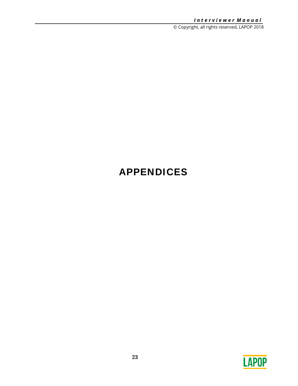# APPENDICES

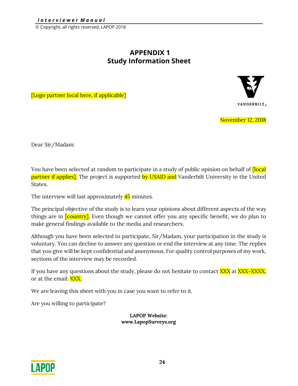# **APPENDIX 1 Study Information Sheet**

[Logo partner local here, if applicable]



November 12, 2018

Dear Sir/Madam:

You have been selected at random to participate in a study of public opinion on behalf of [local] partner if applies]. The project is supported by USAID and Vanderbilt University in the United States.

The interview will last approximately **45** minutes.

The principal objective of the study is to learn your opinions about different aspects of the way things are in **[country]**. Even though we cannot offer you any specific benefit, we do plan to make general findings available to the media and researchers.

Although you have been selected to participate, Sir/Madam, your participation in the study is voluntary. You can decline to answer any question or end the interview at any time. The replies that you give will be kept confidential and anonymous. For quality control purposes of my work, sections of the interview may be recorded.

If you have any questions about the study, please do not hesitate to contact XXX at XXX-XXXX, or at the email: XXX.

We are leaving this sheet with you in case you want to refer to it.

Are you willing to participate?

**LAPOP Website: www.LapopSurveys.org** 

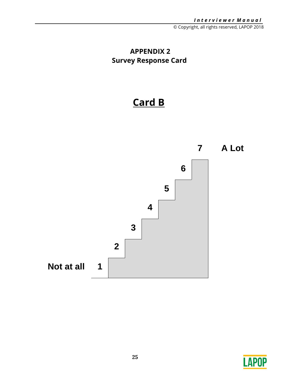# **APPENDIX 2 Survey Response Card**

# **Card B**